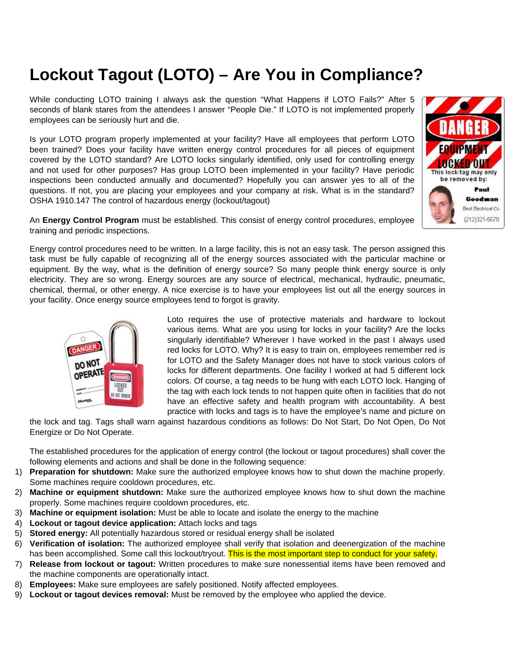## **Lockout Tagout (LOTO) – Are You in Compliance?**

While conducting LOTO training I always ask the question "What Happens if LOTO Fails?" After 5 seconds of blank stares from the attendees I answer "People Die." If LOTO is not implemented properly employees can be seriously hurt and die.

Is your LOTO program properly implemented at your facility? Have all employees that perform LOTO been trained? Does your facility have written energy control procedures for all pieces of equipment covered by the LOTO standard? Are LOTO locks singularly identified, only used for controlling energy and not used for other purposes? Has group LOTO been implemented in your facility? Have periodic inspections been conducted annually and documented? Hopefully you can answer yes to all of the questions. If not, you are placing your employees and your company at risk. What is in the standard? OSHA 1910.147 The control of hazardous energy (lockout/tagout)



An **Energy Control Program** must be established. This consist of energy control procedures, employee training and periodic inspections.

Energy control procedures need to be written. In a large facility, this is not an easy task. The person assigned this task must be fully capable of recognizing all of the energy sources associated with the particular machine or equipment. By the way, what is the definition of energy source? So many people think energy source is only electricity. They are so wrong. Energy sources are any source of electrical, mechanical, hydraulic, pneumatic, chemical, thermal, or other energy. A nice exercise is to have your employees list out all the energy sources in your facility. Once energy source employees tend to forgot is gravity.



Loto requires the use of protective materials and hardware to lockout various items. What are you using for locks in your facility? Are the locks singularly identifiable? Wherever I have worked in the past I always used red locks for LOTO. Why? It is easy to train on, employees remember red is for LOTO and the Safety Manager does not have to stock various colors of locks for different departments. One facility I worked at had 5 different lock colors. Of course, a tag needs to be hung with each LOTO lock. Hanging of the tag with each lock tends to not happen quite often in facilities that do not have an effective safety and health program with accountability. A best practice with locks and tags is to have the employee's name and picture on

the lock and tag. Tags shall warn against hazardous conditions as follows: Do Not Start, Do Not Open, Do Not Energize or Do Not Operate.

The established procedures for the application of energy control (the lockout or tagout procedures) shall cover the following elements and actions and shall be done in the following sequence:

- 1) **Preparation for shutdown:** Make sure the authorized employee knows how to shut down the machine properly. Some machines require cooldown procedures, etc.
- 2) **Machine or equipment shutdown:** Make sure the authorized employee knows how to shut down the machine properly. Some machines require cooldown procedures, etc.
- 3) **Machine or equipment isolation:** Must be able to locate and isolate the energy to the machine
- 4) **Lockout or tagout device application:** Attach locks and tags
- 5) **Stored energy:** All potentially hazardous stored or residual energy shall be isolated
- 6) **Verification of isolation:** The authorized employee shall verify that isolation and deenergization of the machine has been accomplished. Some call this lockout/tryout. This is the most important step to conduct for your safety.
- 7) **Release from lockout or tagout:** Written procedures to make sure nonessential items have been removed and the machine components are operationally intact.
- 8) **Employees:** Make sure employees are safely positioned. Notify affected employees.
- 9) **Lockout or tagout devices removal:** Must be removed by the employee who applied the device.